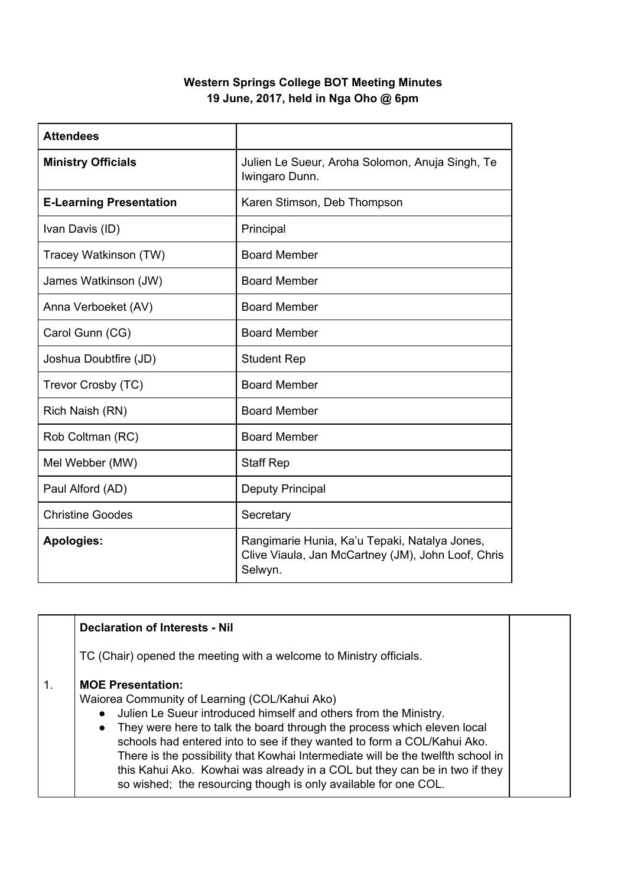## **Western Springs College BOT Meeting Minutes 19 June, 2017, held in Nga Oho @ 6pm**

| <b>Attendees</b>               |                                                                                                                |
|--------------------------------|----------------------------------------------------------------------------------------------------------------|
| <b>Ministry Officials</b>      | Julien Le Sueur, Aroha Solomon, Anuja Singh, Te<br>Iwingaro Dunn.                                              |
| <b>E-Learning Presentation</b> | Karen Stimson, Deb Thompson                                                                                    |
| Ivan Davis (ID)                | Principal                                                                                                      |
| Tracey Watkinson (TW)          | <b>Board Member</b>                                                                                            |
| James Watkinson (JW)           | <b>Board Member</b>                                                                                            |
| Anna Verboeket (AV)            | <b>Board Member</b>                                                                                            |
| Carol Gunn (CG)                | <b>Board Member</b>                                                                                            |
| Joshua Doubtfire (JD)          | <b>Student Rep</b>                                                                                             |
| Trevor Crosby (TC)             | <b>Board Member</b>                                                                                            |
| Rich Naish (RN)                | <b>Board Member</b>                                                                                            |
| Rob Coltman (RC)               | <b>Board Member</b>                                                                                            |
| Mel Webber (MW)                | <b>Staff Rep</b>                                                                                               |
| Paul Alford (AD)               | <b>Deputy Principal</b>                                                                                        |
| <b>Christine Goodes</b>        | Secretary                                                                                                      |
| <b>Apologies:</b>              | Rangimarie Hunia, Ka'u Tepaki, Natalya Jones,<br>Clive Viaula, Jan McCartney (JM), John Loof, Chris<br>Selwyn. |

|            | <b>Declaration of Interests - Nil</b>                                                                                                                                                                                                                                                                                                                                                                                                                                                                                                                |  |
|------------|------------------------------------------------------------------------------------------------------------------------------------------------------------------------------------------------------------------------------------------------------------------------------------------------------------------------------------------------------------------------------------------------------------------------------------------------------------------------------------------------------------------------------------------------------|--|
|            | TC (Chair) opened the meeting with a welcome to Ministry officials.                                                                                                                                                                                                                                                                                                                                                                                                                                                                                  |  |
| $\vert$ 1. | <b>MOE Presentation:</b><br>Waiorea Community of Learning (COL/Kahui Ako)<br>Julien Le Sueur introduced himself and others from the Ministry.<br>They were here to talk the board through the process which eleven local<br>$\bullet$<br>schools had entered into to see if they wanted to form a COL/Kahui Ako.<br>There is the possibility that Kowhai Intermediate will be the twelfth school in<br>this Kahui Ako. Kowhai was already in a COL but they can be in two if they<br>so wished; the resourcing though is only available for one COL. |  |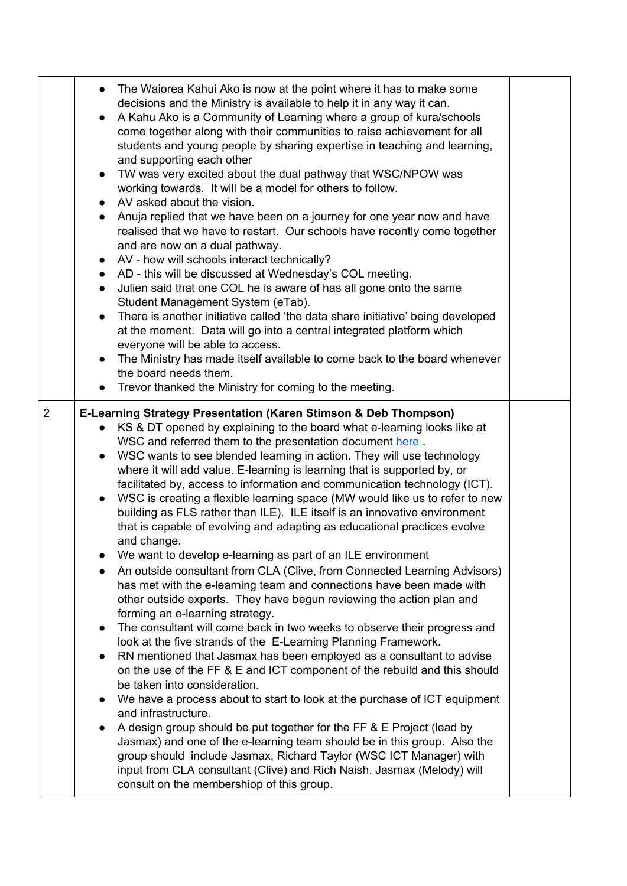|                | The Waiorea Kahui Ako is now at the point where it has to make some<br>$\bullet$<br>decisions and the Ministry is available to help it in any way it can.<br>A Kahu Ako is a Community of Learning where a group of kura/schools<br>$\bullet$<br>come together along with their communities to raise achievement for all<br>students and young people by sharing expertise in teaching and learning,<br>and supporting each other<br>TW was very excited about the dual pathway that WSC/NPOW was<br>$\bullet$<br>working towards. It will be a model for others to follow.<br>AV asked about the vision.<br>$\bullet$<br>Anuja replied that we have been on a journey for one year now and have<br>$\bullet$<br>realised that we have to restart. Our schools have recently come together<br>and are now on a dual pathway.<br>• AV - how will schools interact technically?<br>• AD - this will be discussed at Wednesday's COL meeting.<br>Julien said that one COL he is aware of has all gone onto the same<br>$\bullet$<br>Student Management System (eTab).<br>There is another initiative called 'the data share initiative' being developed<br>at the moment. Data will go into a central integrated platform which<br>everyone will be able to access.<br>The Ministry has made itself available to come back to the board whenever<br>$\bullet$<br>the board needs them.<br>Trevor thanked the Ministry for coming to the meeting.                                                                                                                                                                                                                                                                                                                                                                                                                                                        |  |
|----------------|------------------------------------------------------------------------------------------------------------------------------------------------------------------------------------------------------------------------------------------------------------------------------------------------------------------------------------------------------------------------------------------------------------------------------------------------------------------------------------------------------------------------------------------------------------------------------------------------------------------------------------------------------------------------------------------------------------------------------------------------------------------------------------------------------------------------------------------------------------------------------------------------------------------------------------------------------------------------------------------------------------------------------------------------------------------------------------------------------------------------------------------------------------------------------------------------------------------------------------------------------------------------------------------------------------------------------------------------------------------------------------------------------------------------------------------------------------------------------------------------------------------------------------------------------------------------------------------------------------------------------------------------------------------------------------------------------------------------------------------------------------------------------------------------------------------------------------------------------------------------------------------------------|--|
| $\overline{2}$ | E-Learning Strategy Presentation (Karen Stimson & Deb Thompson)<br>KS & DT opened by explaining to the board what e-learning looks like at<br>$\bullet$<br>WSC and referred them to the presentation document here.<br>WSC wants to see blended learning in action. They will use technology<br>$\bullet$<br>where it will add value. E-learning is learning that is supported by, or<br>facilitated by, access to information and communication technology (ICT).<br>WSC is creating a flexible learning space (MW would like us to refer to new<br>$\bullet$<br>building as FLS rather than ILE). ILE itself is an innovative environment<br>that is capable of evolving and adapting as educational practices evolve<br>and change.<br>We want to develop e-learning as part of an ILE environment<br>An outside consultant from CLA (Clive, from Connected Learning Advisors)<br>has met with the e-learning team and connections have been made with<br>other outside experts. They have begun reviewing the action plan and<br>forming an e-learning strategy.<br>The consultant will come back in two weeks to observe their progress and<br>$\bullet$<br>look at the five strands of the E-Learning Planning Framework.<br>RN mentioned that Jasmax has been employed as a consultant to advise<br>$\bullet$<br>on the use of the FF & E and ICT component of the rebuild and this should<br>be taken into consideration.<br>We have a process about to start to look at the purchase of ICT equipment<br>$\bullet$<br>and infrastructure.<br>A design group should be put together for the FF & E Project (lead by<br>Jasmax) and one of the e-learning team should be in this group. Also the<br>group should include Jasmax, Richard Taylor (WSC ICT Manager) with<br>input from CLA consultant (Clive) and Rich Naish. Jasmax (Melody) will<br>consult on the membershiop of this group. |  |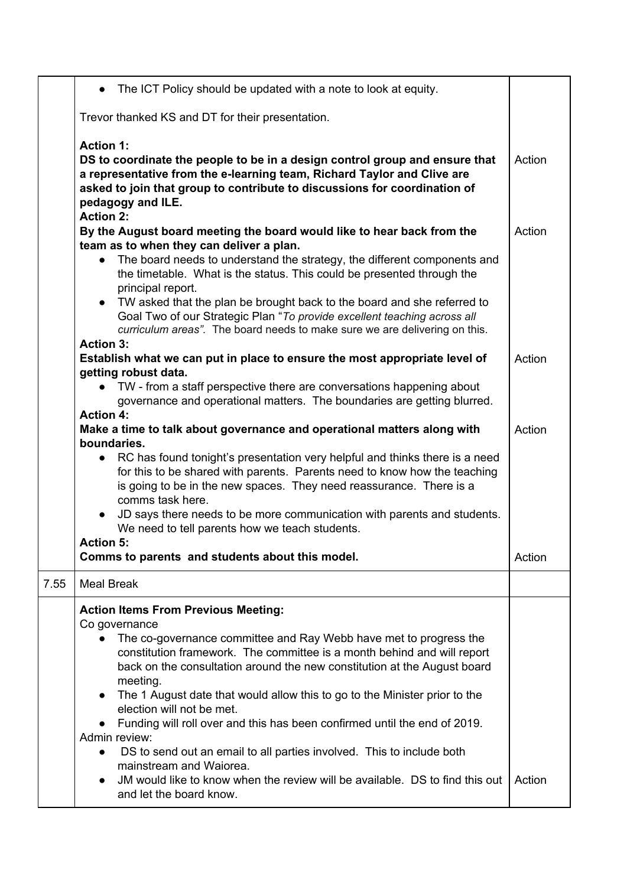|      | The ICT Policy should be updated with a note to look at equity.                                                                                                                                                                                                                                                                                                                                                                                                                                                                                                                                                                                                                                                                          |        |
|------|------------------------------------------------------------------------------------------------------------------------------------------------------------------------------------------------------------------------------------------------------------------------------------------------------------------------------------------------------------------------------------------------------------------------------------------------------------------------------------------------------------------------------------------------------------------------------------------------------------------------------------------------------------------------------------------------------------------------------------------|--------|
|      | Trevor thanked KS and DT for their presentation.                                                                                                                                                                                                                                                                                                                                                                                                                                                                                                                                                                                                                                                                                         |        |
|      | <b>Action 1:</b><br>DS to coordinate the people to be in a design control group and ensure that<br>a representative from the e-learning team, Richard Taylor and Clive are<br>asked to join that group to contribute to discussions for coordination of<br>pedagogy and ILE.                                                                                                                                                                                                                                                                                                                                                                                                                                                             | Action |
|      | <b>Action 2:</b><br>By the August board meeting the board would like to hear back from the<br>team as to when they can deliver a plan.<br>The board needs to understand the strategy, the different components and<br>the timetable. What is the status. This could be presented through the<br>principal report.<br>• TW asked that the plan be brought back to the board and she referred to<br>Goal Two of our Strategic Plan "To provide excellent teaching across all<br>curriculum areas". The board needs to make sure we are delivering on this.                                                                                                                                                                                 | Action |
|      | <b>Action 3:</b><br>Establish what we can put in place to ensure the most appropriate level of<br>getting robust data.<br>TW - from a staff perspective there are conversations happening about<br>governance and operational matters. The boundaries are getting blurred.                                                                                                                                                                                                                                                                                                                                                                                                                                                               | Action |
|      | <b>Action 4:</b><br>Make a time to talk about governance and operational matters along with<br>boundaries.<br>RC has found tonight's presentation very helpful and thinks there is a need<br>$\bullet$<br>for this to be shared with parents. Parents need to know how the teaching<br>is going to be in the new spaces. They need reassurance. There is a<br>comms task here.<br>JD says there needs to be more communication with parents and students.<br>$\bullet$<br>We need to tell parents how we teach students.<br><b>Action 5:</b>                                                                                                                                                                                             | Action |
|      | Comms to parents and students about this model.                                                                                                                                                                                                                                                                                                                                                                                                                                                                                                                                                                                                                                                                                          | Action |
| 7.55 | <b>Meal Break</b>                                                                                                                                                                                                                                                                                                                                                                                                                                                                                                                                                                                                                                                                                                                        |        |
|      | <b>Action Items From Previous Meeting:</b><br>Co governance<br>The co-governance committee and Ray Webb have met to progress the<br>constitution framework. The committee is a month behind and will report<br>back on the consultation around the new constitution at the August board<br>meeting.<br>The 1 August date that would allow this to go to the Minister prior to the<br>election will not be met.<br>Funding will roll over and this has been confirmed until the end of 2019.<br>Admin review:<br>DS to send out an email to all parties involved. This to include both<br>mainstream and Waiorea.<br>JM would like to know when the review will be available. DS to find this out<br>$\bullet$<br>and let the board know. | Action |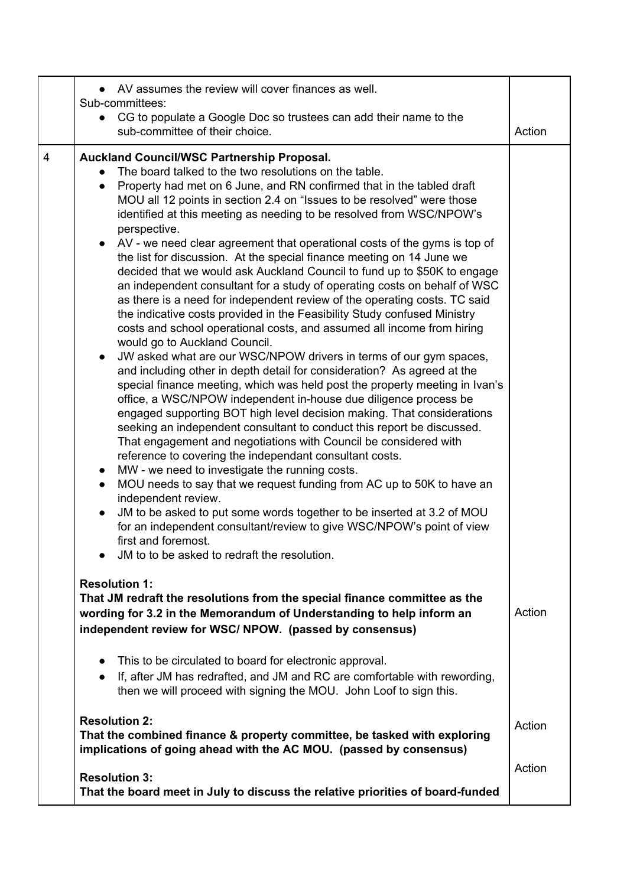|                | AV assumes the review will cover finances as well.                                                                                                                                                                                                                                                                                                                                                                                                                                                                                                                                                                                                                                                                                                                                                                                                                                                                                                                                                                                                                                                                                                                                                                                                                                                                                                                                                                                                                                                                                                                                                                                                                                                                                                                                                                                                                                                                                                       |        |
|----------------|----------------------------------------------------------------------------------------------------------------------------------------------------------------------------------------------------------------------------------------------------------------------------------------------------------------------------------------------------------------------------------------------------------------------------------------------------------------------------------------------------------------------------------------------------------------------------------------------------------------------------------------------------------------------------------------------------------------------------------------------------------------------------------------------------------------------------------------------------------------------------------------------------------------------------------------------------------------------------------------------------------------------------------------------------------------------------------------------------------------------------------------------------------------------------------------------------------------------------------------------------------------------------------------------------------------------------------------------------------------------------------------------------------------------------------------------------------------------------------------------------------------------------------------------------------------------------------------------------------------------------------------------------------------------------------------------------------------------------------------------------------------------------------------------------------------------------------------------------------------------------------------------------------------------------------------------------------|--------|
|                | Sub-committees:<br>CG to populate a Google Doc so trustees can add their name to the<br>sub-committee of their choice.                                                                                                                                                                                                                                                                                                                                                                                                                                                                                                                                                                                                                                                                                                                                                                                                                                                                                                                                                                                                                                                                                                                                                                                                                                                                                                                                                                                                                                                                                                                                                                                                                                                                                                                                                                                                                                   | Action |
| $\overline{4}$ | Auckland Council/WSC Partnership Proposal.<br>The board talked to the two resolutions on the table.<br>Property had met on 6 June, and RN confirmed that in the tabled draft<br>$\bullet$<br>MOU all 12 points in section 2.4 on "Issues to be resolved" were those<br>identified at this meeting as needing to be resolved from WSC/NPOW's<br>perspective.<br>AV - we need clear agreement that operational costs of the gyms is top of<br>the list for discussion. At the special finance meeting on 14 June we<br>decided that we would ask Auckland Council to fund up to \$50K to engage<br>an independent consultant for a study of operating costs on behalf of WSC<br>as there is a need for independent review of the operating costs. TC said<br>the indicative costs provided in the Feasibility Study confused Ministry<br>costs and school operational costs, and assumed all income from hiring<br>would go to Auckland Council.<br>JW asked what are our WSC/NPOW drivers in terms of our gym spaces,<br>and including other in depth detail for consideration? As agreed at the<br>special finance meeting, which was held post the property meeting in Ivan's<br>office, a WSC/NPOW independent in-house due diligence process be<br>engaged supporting BOT high level decision making. That considerations<br>seeking an independent consultant to conduct this report be discussed.<br>That engagement and negotiations with Council be considered with<br>reference to covering the independant consultant costs.<br>MW - we need to investigate the running costs.<br>$\bullet$<br>MOU needs to say that we request funding from AC up to 50K to have an<br>$\bullet$<br>independent review.<br>JM to be asked to put some words together to be inserted at 3.2 of MOU<br>$\bullet$<br>for an independent consultant/review to give WSC/NPOW's point of view<br>first and foremost.<br>JM to to be asked to redraft the resolution. |        |
|                | <b>Resolution 1:</b><br>That JM redraft the resolutions from the special finance committee as the<br>wording for 3.2 in the Memorandum of Understanding to help inform an<br>independent review for WSC/ NPOW. (passed by consensus)                                                                                                                                                                                                                                                                                                                                                                                                                                                                                                                                                                                                                                                                                                                                                                                                                                                                                                                                                                                                                                                                                                                                                                                                                                                                                                                                                                                                                                                                                                                                                                                                                                                                                                                     | Action |
|                | This to be circulated to board for electronic approval.<br>$\bullet$<br>If, after JM has redrafted, and JM and RC are comfortable with rewording,<br>then we will proceed with signing the MOU. John Loof to sign this.                                                                                                                                                                                                                                                                                                                                                                                                                                                                                                                                                                                                                                                                                                                                                                                                                                                                                                                                                                                                                                                                                                                                                                                                                                                                                                                                                                                                                                                                                                                                                                                                                                                                                                                                  |        |
|                | <b>Resolution 2:</b><br>That the combined finance & property committee, be tasked with exploring<br>implications of going ahead with the AC MOU. (passed by consensus)                                                                                                                                                                                                                                                                                                                                                                                                                                                                                                                                                                                                                                                                                                                                                                                                                                                                                                                                                                                                                                                                                                                                                                                                                                                                                                                                                                                                                                                                                                                                                                                                                                                                                                                                                                                   | Action |
|                | <b>Resolution 3:</b><br>That the board meet in July to discuss the relative priorities of board-funded                                                                                                                                                                                                                                                                                                                                                                                                                                                                                                                                                                                                                                                                                                                                                                                                                                                                                                                                                                                                                                                                                                                                                                                                                                                                                                                                                                                                                                                                                                                                                                                                                                                                                                                                                                                                                                                   | Action |